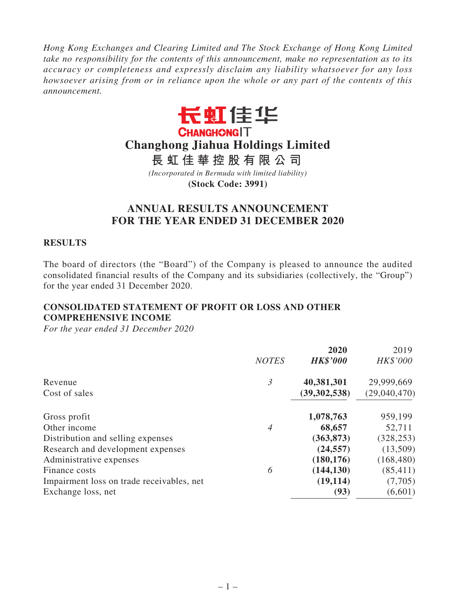*Hong Kong Exchanges and Clearing Limited and The Stock Exchange of Hong Kong Limited take no responsibility for the contents of this announcement, make no representation as to its accuracy or completeness and expressly disclaim any liability whatsoever for any loss howsoever arising from or in reliance upon the whole or any part of the contents of this announcement.*



# **Changhong Jiahua Holdings Limited**

**長虹佳華控股有限公司**

*(Incorporated in Bermuda with limited liability)*

**(Stock Code: 3991)**

# **ANNUAL RESULTS ANNOUNCEMENT FOR THE YEAR ENDED 31 DECEMBER 2020**

### **RESULTS**

The board of directors (the "Board") of the Company is pleased to announce the audited consolidated financial results of the Company and its subsidiaries (collectively, the "Group") for the year ended 31 December 2020.

# **CONSOLIDATED STATEMENT OF PROFIT OR LOSS AND OTHER COMPREHENSIVE INCOME**

|                                           |                | 2020            | 2019         |
|-------------------------------------------|----------------|-----------------|--------------|
|                                           | <b>NOTES</b>   | <b>HK\$'000</b> | HK\$'000     |
| Revenue                                   | $\mathfrak{Z}$ | 40,381,301      | 29,999,669   |
| Cost of sales                             |                | (39, 302, 538)  | (29,040,470) |
| Gross profit                              |                | 1,078,763       | 959,199      |
| Other income                              | 4              | 68,657          | 52,711       |
| Distribution and selling expenses         |                | (363, 873)      | (328, 253)   |
| Research and development expenses         |                | (24, 557)       | (13,509)     |
| Administrative expenses                   |                | (180, 176)      | (168, 480)   |
| Finance costs                             | 6              | (144, 130)      | (85, 411)    |
| Impairment loss on trade receivables, net |                | (19, 114)       | (7,705)      |
| Exchange loss, net                        |                | (93)            | (6,601)      |
|                                           |                |                 |              |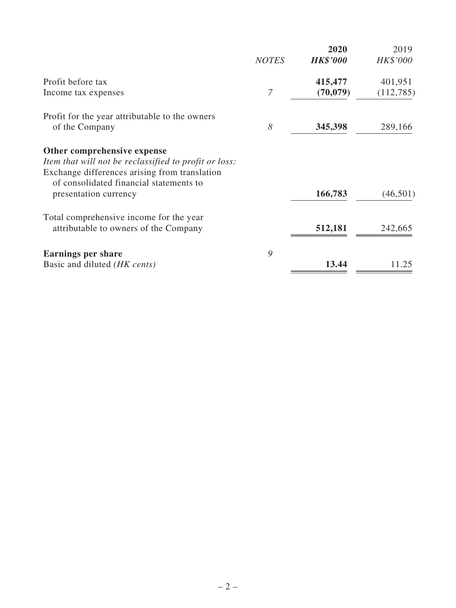|                                                                                          | <b>NOTES</b> | 2020<br><b>HK\$'000</b> | 2019<br>HK\$'000 |
|------------------------------------------------------------------------------------------|--------------|-------------------------|------------------|
| Profit before tax                                                                        |              | 415,477                 | 401,951          |
| Income tax expenses                                                                      | 7            | (70, 079)               | (112, 785)       |
| Profit for the year attributable to the owners                                           |              |                         |                  |
| of the Company                                                                           | 8            | 345,398                 | 289,166          |
| Other comprehensive expense                                                              |              |                         |                  |
| Item that will not be reclassified to profit or loss:                                    |              |                         |                  |
| Exchange differences arising from translation<br>of consolidated financial statements to |              |                         |                  |
| presentation currency                                                                    |              | 166,783                 | (46, 501)        |
| Total comprehensive income for the year                                                  |              |                         |                  |
| attributable to owners of the Company                                                    |              | 512,181                 | 242,665          |
| <b>Earnings per share</b>                                                                | 9            |                         |                  |
| Basic and diluted <i>(HK cents)</i>                                                      |              | 13.44                   | 11.25            |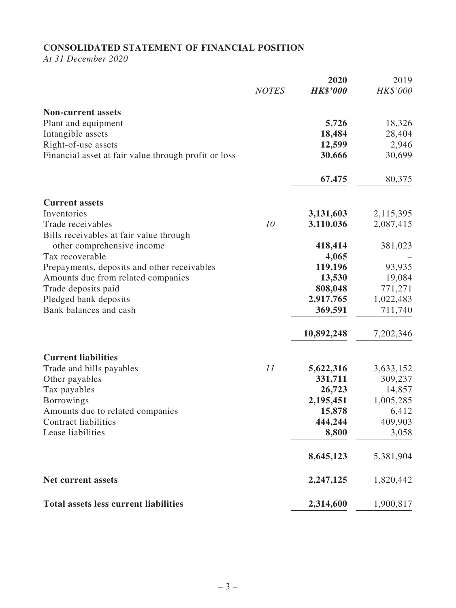# **CONSOLIDATED STATEMENT OF FINANCIAL POSITION**

*At 31 December 2020*

|                                                                       | <b>NOTES</b> | 2020<br><b>HK\$'000</b> | 2019<br>HK\$'000 |
|-----------------------------------------------------------------------|--------------|-------------------------|------------------|
| <b>Non-current assets</b>                                             |              |                         |                  |
| Plant and equipment                                                   |              | 5,726                   | 18,326           |
| Intangible assets                                                     |              | 18,484                  | 28,404           |
| Right-of-use assets                                                   |              | 12,599                  | 2,946            |
| Financial asset at fair value through profit or loss                  |              | 30,666                  | 30,699           |
|                                                                       |              | 67,475                  | 80,375           |
| <b>Current assets</b>                                                 |              |                         |                  |
| Inventories                                                           |              | 3,131,603               | 2,115,395        |
| Trade receivables                                                     | 10           | 3,110,036               | 2,087,415        |
| Bills receivables at fair value through<br>other comprehensive income |              | 418,414                 | 381,023          |
| Tax recoverable                                                       |              | 4,065                   |                  |
| Prepayments, deposits and other receivables                           |              | 119,196                 | 93,935           |
| Amounts due from related companies                                    |              | 13,530                  | 19,084           |
| Trade deposits paid                                                   |              | 808,048                 | 771,271          |
| Pledged bank deposits                                                 |              | 2,917,765               | 1,022,483        |
| Bank balances and cash                                                |              | 369,591                 | 711,740          |
|                                                                       |              | 10,892,248              | 7,202,346        |
| <b>Current liabilities</b>                                            |              |                         |                  |
| Trade and bills payables                                              | 11           | 5,622,316               | 3,633,152        |
| Other payables                                                        |              | 331,711                 | 309,237          |
| Tax payables                                                          |              | 26,723                  | 14,857           |
| <b>Borrowings</b>                                                     |              | 2,195,451               | 1,005,285        |
| Amounts due to related companies                                      |              | 15,878                  | 6,412            |
| <b>Contract liabilities</b>                                           |              | 444,244                 | 409,903          |
| Lease liabilities                                                     |              | 8,800                   | 3,058            |
|                                                                       |              | 8,645,123               | 5,381,904        |
| Net current assets                                                    |              | 2,247,125               | 1,820,442        |
| <b>Total assets less current liabilities</b>                          |              | 2,314,600               | 1,900,817        |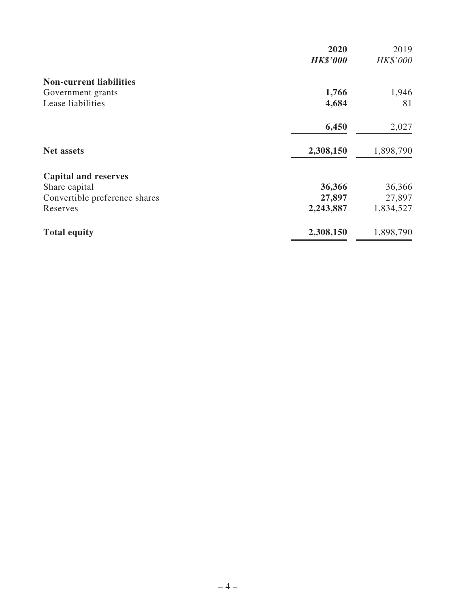|                                | 2020            | 2019      |
|--------------------------------|-----------------|-----------|
|                                | <b>HK\$'000</b> | HK\$'000  |
| <b>Non-current liabilities</b> |                 |           |
| Government grants              | 1,766           | 1,946     |
| Lease liabilities              | 4,684           | 81        |
|                                | 6,450           | 2,027     |
| <b>Net assets</b>              | 2,308,150       | 1,898,790 |
| <b>Capital and reserves</b>    |                 |           |
| Share capital                  | 36,366          | 36,366    |
| Convertible preference shares  | 27,897          | 27,897    |
| Reserves                       | 2,243,887       | 1,834,527 |
| <b>Total equity</b>            | 2,308,150       | 1,898,790 |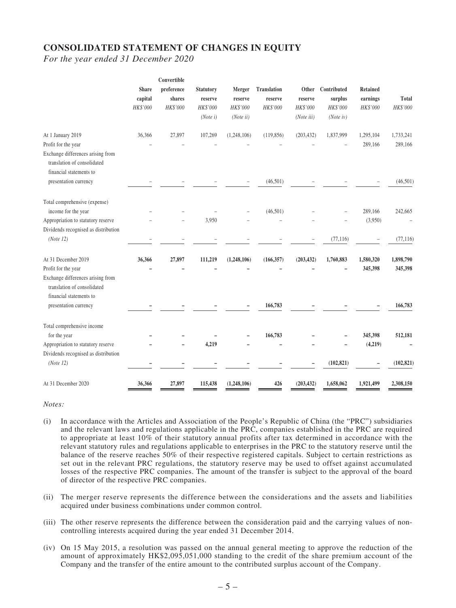### **CONSOLIDATED STATEMENT OF CHANGES IN EQUITY**

*For the year ended 31 December 2020*

|                                                                  |              | Convertible |                  |             |             |            |                          |                 |              |
|------------------------------------------------------------------|--------------|-------------|------------------|-------------|-------------|------------|--------------------------|-----------------|--------------|
|                                                                  | <b>Share</b> | preference  | <b>Statutory</b> | Merger      | Translation | Other      | Contributed              | <b>Retained</b> |              |
|                                                                  | capital      | shares      | reserve          | reserve     | reserve     | reserve    | $\operatorname{surplus}$ | earnings        | <b>Total</b> |
|                                                                  | HK\$'000     | HK\$'000    | HK\$'000         | HK\$'000    | HK\$'000    | HK\$'000   | HK\$'000                 | HK\$'000        | HK\$'000     |
|                                                                  |              |             | (Note i)         | (Note ii)   |             | (Note iii) | (Noteiv)                 |                 |              |
| At 1 January 2019                                                | 36,366       | 27,897      | 107,269          | (1,248,106) | (119, 856)  | (203, 432) | 1,837,999                | 1,295,104       | 1,733,241    |
| Profit for the year                                              |              |             |                  |             |             |            |                          | 289,166         | 289,166      |
| Exchange differences arising from                                |              |             |                  |             |             |            |                          |                 |              |
| translation of consolidated                                      |              |             |                  |             |             |            |                          |                 |              |
| financial statements to                                          |              |             |                  |             |             |            |                          |                 |              |
| presentation currency                                            |              |             |                  |             | (46,501)    |            |                          |                 | (46,501)     |
| Total comprehensive (expense)                                    |              |             |                  |             |             |            |                          |                 |              |
| income for the year                                              |              |             |                  |             | (46, 501)   |            |                          | 289,166         | 242,665      |
| Appropriation to statutory reserve                               |              |             | 3,950            |             |             |            |                          | (3,950)         |              |
| Dividends recognised as distribution                             |              |             |                  |             |             |            |                          |                 |              |
| (Note 12)                                                        |              |             |                  |             |             |            | (77, 116)                |                 | (77, 116)    |
| At 31 December 2019                                              | 36,366       | 27,897      | 111,219          | (1,248,106) | (166, 357)  | (203, 432) | 1,760,883                | 1,580,320       | 1,898,790    |
| Profit for the year                                              |              |             |                  |             |             |            |                          | 345,398         | 345,398      |
| Exchange differences arising from<br>translation of consolidated |              |             |                  |             |             |            |                          |                 |              |
| financial statements to                                          |              |             |                  |             |             |            |                          |                 |              |
| presentation currency                                            |              |             |                  |             | 166,783     |            |                          |                 | 166,783      |
| Total comprehensive income                                       |              |             |                  |             |             |            |                          |                 |              |
| for the year                                                     |              |             |                  |             | 166,783     |            |                          | 345,398         | 512,181      |
| Appropriation to statutory reserve                               |              |             | 4,219            |             |             |            |                          | (4,219)         |              |
| Dividends recognised as distribution                             |              |             |                  |             |             |            |                          |                 |              |
| (Note 12)                                                        |              |             |                  |             |             |            | (102, 821)               |                 | (102, 821)   |
| At 31 December 2020                                              | 36.366       | 27,897      | 115,438          | (1,248,106) | 426         | (203, 432) | 1,658,062                | 1,921,499       | 2,308,150    |

#### *Notes:*

- (i) In accordance with the Articles and Association of the People's Republic of China (the "PRC") subsidiaries and the relevant laws and regulations applicable in the PRC, companies established in the PRC are required to appropriate at least  $10\%$  of their statutory annual profits after tax determined in accordance with the relevant statutory rules and regulations applicable to enterprises in the PRC to the statutory reserve until the balance of the reserve reaches 50% of their respective registered capitals. Subject to certain restrictions as set out in the relevant PRC regulations, the statutory reserve may be used to offset against accumulated losses of the respective PRC companies. The amount of the transfer is subject to the approval of the board of director of the respective PRC companies.
- (ii) The merger reserve represents the difference between the considerations and the assets and liabilities acquired under business combinations under common control.
- (iii) The other reserve represents the difference between the consideration paid and the carrying values of noncontrolling interests acquired during the year ended 31 December 2014.
- (iv) On 15 May 2015, a resolution was passed on the annual general meeting to approve the reduction of the amount of approximately HK\$2,095,051,000 standing to the credit of the share premium account of the Company and the transfer of the entire amount to the contributed surplus account of the Company.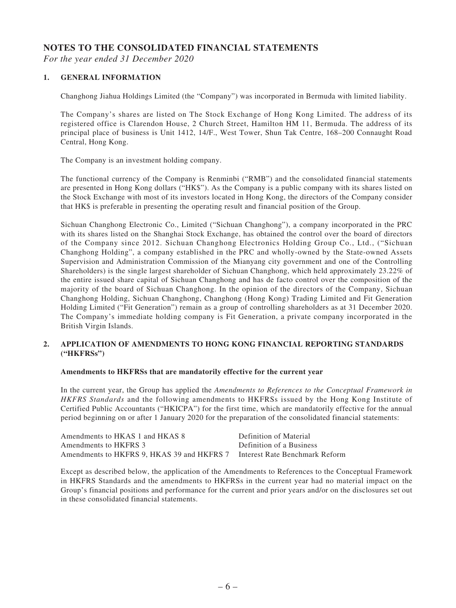### **NOTES TO THE CONSOLIDATED FINANCIAL STATEMENTS**

*For the year ended 31 December 2020*

### **1. GENERAL INFORMATION**

Changhong Jiahua Holdings Limited (the "Company") was incorporated in Bermuda with limited liability.

The Company's shares are listed on The Stock Exchange of Hong Kong Limited. The address of its registered office is Clarendon House, 2 Church Street, Hamilton HM 11, Bermuda. The address of its principal place of business is Unit 1412, 14/F., West Tower, Shun Tak Centre, 168–200 Connaught Road Central, Hong Kong.

The Company is an investment holding company.

The functional currency of the Company is Renminbi ("RMB") and the consolidated financial statements are presented in Hong Kong dollars ("HK\$"). As the Company is a public company with its shares listed on the Stock Exchange with most of its investors located in Hong Kong, the directors of the Company consider that HK\$ is preferable in presenting the operating result and financial position of the Group.

Sichuan Changhong Electronic Co., Limited ("Sichuan Changhong"), a company incorporated in the PRC with its shares listed on the Shanghai Stock Exchange, has obtained the control over the board of directors of the Company since 2012. Sichuan Changhong Electronics Holding Group Co., Ltd., ("Sichuan Changhong Holding", a company established in the PRC and wholly-owned by the State-owned Assets Supervision and Administration Commission of the Mianyang city government and one of the Controlling Shareholders) is the single largest shareholder of Sichuan Changhong, which held approximately 23.22% of the entire issued share capital of Sichuan Changhong and has de facto control over the composition of the majority of the board of Sichuan Changhong. In the opinion of the directors of the Company, Sichuan Changhong Holding, Sichuan Changhong, Changhong (Hong Kong) Trading Limited and Fit Generation Holding Limited ("Fit Generation") remain as a group of controlling shareholders as at 31 December 2020. The Company's immediate holding company is Fit Generation, a private company incorporated in the British Virgin Islands.

### **2. APPLICATION OF AMENDMENTS TO HONG KONG FINANCIAL REPORTING STANDARDS ("HKFRSs")**

### **Amendments to HKFRSs that are mandatorily effective for the current year**

In the current year, the Group has applied the *Amendments to References to the Conceptual Framework in HKFRS Standards* and the following amendments to HKFRSs issued by the Hong Kong Institute of Certified Public Accountants ("HKICPA") for the first time, which are mandatorily effective for the annual period beginning on or after 1 January 2020 for the preparation of the consolidated financial statements:

| Amendments to HKAS 1 and HKAS 8            | Definition of Material         |
|--------------------------------------------|--------------------------------|
| Amendments to HKFRS 3                      | Definition of a Business       |
| Amendments to HKFRS 9, HKAS 39 and HKFRS 7 | Interest Rate Benchmark Reform |

Except as described below, the application of the Amendments to References to the Conceptual Framework in HKFRS Standards and the amendments to HKFRSs in the current year had no material impact on the Group's financial positions and performance for the current and prior years and/or on the disclosures set out in these consolidated financial statements.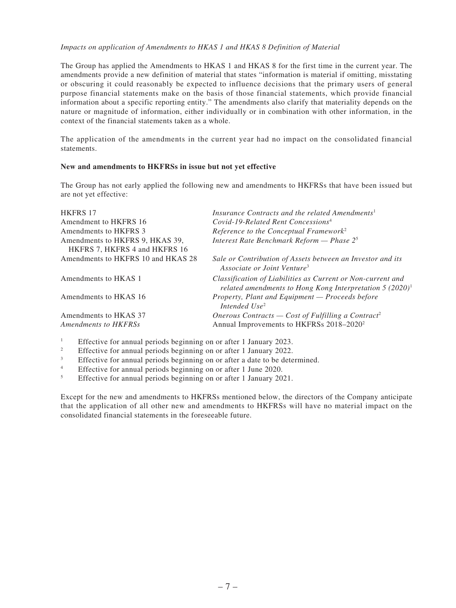*Impacts on application of Amendments to HKAS 1 and HKAS 8 Definition of Material*

The Group has applied the Amendments to HKAS 1 and HKAS 8 for the first time in the current year. The amendments provide a new definition of material that states "information is material if omitting, misstating or obscuring it could reasonably be expected to influence decisions that the primary users of general purpose financial statements make on the basis of those financial statements, which provide financial information about a specific reporting entity." The amendments also clarify that materiality depends on the nature or magnitude of information, either individually or in combination with other information, in the context of the financial statements taken as a whole.

The application of the amendments in the current year had no impact on the consolidated financial statements.

#### **New and amendments to HKFRSs in issue but not yet effective**

The Group has not early applied the following new and amendments to HKFRSs that have been issued but are not yet effective:

| <b>HKFRS 17</b>                                                  | Insurance Contracts and the related Amendments <sup>1</sup>                                                               |
|------------------------------------------------------------------|---------------------------------------------------------------------------------------------------------------------------|
| Amendment to HKFRS 16                                            | Covid-19-Related Rent Concessions <sup>4</sup>                                                                            |
| Amendments to HKFRS 3                                            | Reference to the Conceptual Framework <sup>2</sup>                                                                        |
| Amendments to HKFRS 9, HKAS 39,<br>HKFRS 7, HKFRS 4 and HKFRS 16 | Interest Rate Benchmark Reform - Phase $2^5$                                                                              |
| Amendments to HKFRS 10 and HKAS 28                               | Sale or Contribution of Assets between an Investor and its<br>Associate or Joint Venture <sup>3</sup>                     |
| Amendments to HKAS 1                                             | Classification of Liabilities as Current or Non-current and<br>related amendments to Hong Kong Interpretation $5(2020)^1$ |
| Amendments to HKAS 16                                            | Property, Plant and Equipment - Proceeds before<br>Intended $Use^2$                                                       |
| Amendments to HKAS 37                                            | Onerous Contracts — Cost of Fulfilling a Contract <sup>2</sup>                                                            |
| Amendments to HKFRSs                                             | Annual Improvements to HKFRSs 2018-2020 <sup>2</sup>                                                                      |
|                                                                  |                                                                                                                           |

<sup>1</sup> Effective for annual periods beginning on or after 1 January 2023.<br>Effective for annual periods beginning on or after 1 January 2022.

- <sup>2</sup> Effective for annual periods beginning on or after 1 January 2022.<br>Effective for annual periods beginning on or after a date to be determined.
- <sup>3</sup> Effective for annual periods beginning on or after a date to be determined.<br><sup>4</sup> Effective for annual periods beginning on or after 1 June 2020.
- <sup>4</sup> Effective for annual periods beginning on or after 1 June 2020.
- <sup>5</sup> Effective for annual periods beginning on or after 1 January 2021.

Except for the new and amendments to HKFRSs mentioned below, the directors of the Company anticipate that the application of all other new and amendments to HKFRSs will have no material impact on the consolidated financial statements in the foreseeable future.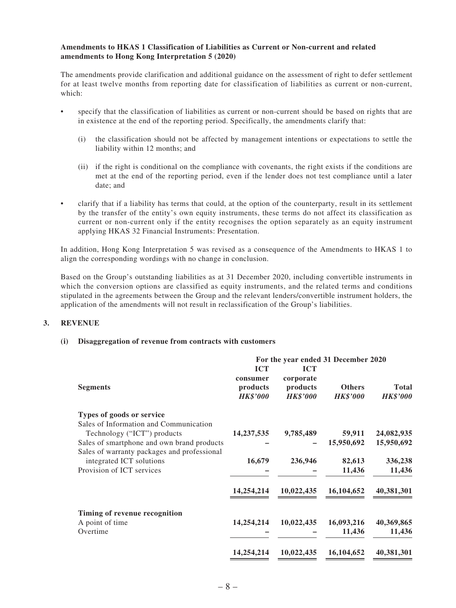#### **Amendments to HKAS 1 Classification of Liabilities as Current or Non-current and related amendments to Hong Kong Interpretation 5 (2020)**

The amendments provide clarification and additional guidance on the assessment of right to defer settlement for at least twelve months from reporting date for classification of liabilities as current or non-current, which:

- specify that the classification of liabilities as current or non-current should be based on rights that are in existence at the end of the reporting period. Specifically, the amendments clarify that:
	- (i) the classification should not be affected by management intentions or expectations to settle the liability within 12 months; and
	- (ii) if the right is conditional on the compliance with covenants, the right exists if the conditions are met at the end of the reporting period, even if the lender does not test compliance until a later date; and
- clarify that if a liability has terms that could, at the option of the counterparty, result in its settlement by the transfer of the entity's own equity instruments, these terms do not affect its classification as current or non-current only if the entity recognises the option separately as an equity instrument applying HKAS 32 Financial Instruments: Presentation.

In addition, Hong Kong Interpretation 5 was revised as a consequence of the Amendments to HKAS 1 to align the corresponding wordings with no change in conclusion.

Based on the Group's outstanding liabilities as at 31 December 2020, including convertible instruments in which the conversion options are classified as equity instruments, and the related terms and conditions stipulated in the agreements between the Group and the relevant lenders/convertible instrument holders, the application of the amendments will not result in reclassification of the Group's liabilities.

### **3. REVENUE**

### **(i) Disaggregation of revenue from contracts with customers**

|                                                                                                                     | For the year ended 31 December 2020                   |                                                        |                                  |                                 |
|---------------------------------------------------------------------------------------------------------------------|-------------------------------------------------------|--------------------------------------------------------|----------------------------------|---------------------------------|
| <b>Segments</b>                                                                                                     | <b>ICT</b><br>consumer<br>products<br><b>HK\$'000</b> | <b>ICT</b><br>corporate<br>products<br><b>HK\$'000</b> | <b>Others</b><br><b>HK\$'000</b> | <b>Total</b><br><b>HK\$'000</b> |
| Types of goods or service                                                                                           |                                                       |                                                        |                                  |                                 |
| Sales of Information and Communication<br>Technology ("ICT") products<br>Sales of smartphone and own brand products | 14, 237, 535                                          | 9,785,489                                              | 59,911<br>15,950,692             | 24,082,935<br>15,950,692        |
| Sales of warranty packages and professional<br>integrated ICT solutions<br>Provision of ICT services                | 16,679                                                | 236,946                                                | 82,613                           | 336,238                         |
|                                                                                                                     |                                                       |                                                        | 11,436                           | 11,436                          |
|                                                                                                                     | 14,254,214                                            | 10,022,435                                             | 16,104,652                       | 40,381,301                      |
| Timing of revenue recognition                                                                                       |                                                       |                                                        |                                  |                                 |
| A point of time                                                                                                     | 14,254,214                                            | 10,022,435                                             | 16,093,216                       | 40,369,865                      |
| Overtime                                                                                                            |                                                       |                                                        | 11,436                           | 11,436                          |
|                                                                                                                     | 14,254,214                                            | 10,022,435                                             | 16,104,652                       | 40,381,301                      |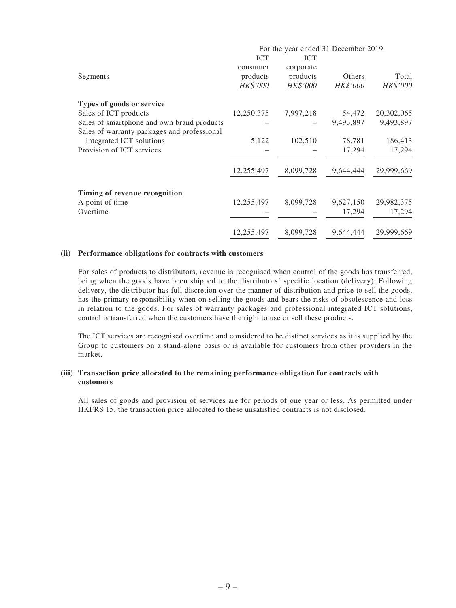|                                             |            | For the year ended 31 December 2019 |           |            |
|---------------------------------------------|------------|-------------------------------------|-----------|------------|
|                                             | <b>ICT</b> | <b>ICT</b>                          |           |            |
|                                             | consumer   | corporate                           |           |            |
| Segments                                    | products   | products                            | Others    | Total      |
|                                             | HK\$'000   | HK\$'000                            | HK\$'000  | HK\$'000   |
| Types of goods or service                   |            |                                     |           |            |
| Sales of ICT products                       | 12,250,375 | 7,997,218                           | 54,472    | 20,302,065 |
| Sales of smartphone and own brand products  |            |                                     | 9,493,897 | 9,493,897  |
| Sales of warranty packages and professional |            |                                     |           |            |
| integrated ICT solutions                    | 5,122      | 102,510                             | 78,781    | 186,413    |
| Provision of ICT services                   |            |                                     | 17,294    | 17,294     |
|                                             | 12,255,497 | 8,099,728                           | 9,644,444 | 29,999,669 |
| Timing of revenue recognition               |            |                                     |           |            |
| A point of time                             | 12,255,497 | 8,099,728                           | 9,627,150 | 29,982,375 |
| Overtime                                    |            |                                     | 17,294    | 17,294     |
|                                             | 12,255,497 | 8,099,728                           | 9,644,444 | 29,999,669 |

#### **(ii) Performance obligations for contracts with customers**

For sales of products to distributors, revenue is recognised when control of the goods has transferred, being when the goods have been shipped to the distributors' specific location (delivery). Following delivery, the distributor has full discretion over the manner of distribution and price to sell the goods, has the primary responsibility when on selling the goods and bears the risks of obsolescence and loss in relation to the goods. For sales of warranty packages and professional integrated ICT solutions, control is transferred when the customers have the right to use or sell these products.

The ICT services are recognised overtime and considered to be distinct services as it is supplied by the Group to customers on a stand-alone basis or is available for customers from other providers in the market.

#### **(iii) Transaction price allocated to the remaining performance obligation for contracts with customers**

All sales of goods and provision of services are for periods of one year or less. As permitted under HKFRS 15, the transaction price allocated to these unsatisfied contracts is not disclosed.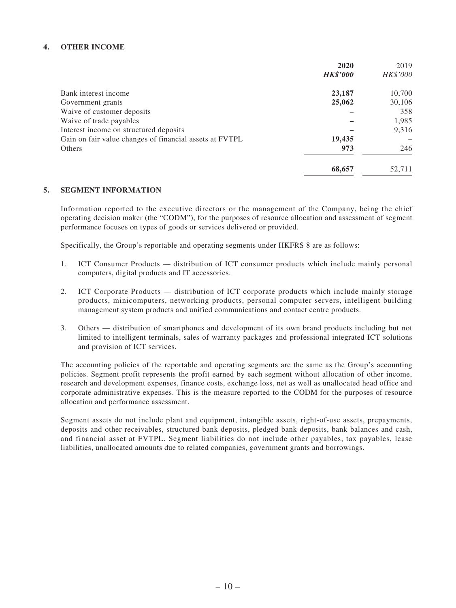### **4. OTHER INCOME**

|                                                         | 2020            | 2019     |
|---------------------------------------------------------|-----------------|----------|
|                                                         | <b>HK\$'000</b> | HK\$'000 |
| Bank interest income                                    | 23,187          | 10,700   |
| Government grants                                       | 25,062          | 30,106   |
| Waive of customer deposits                              |                 | 358      |
| Waive of trade payables                                 |                 | 1,985    |
| Interest income on structured deposits                  |                 | 9,316    |
| Gain on fair value changes of financial assets at FVTPL | 19,435          |          |
| Others                                                  | 973             | 246      |
|                                                         | 68,657          | 52,711   |

#### **5. SEGMENT INFORMATION**

Information reported to the executive directors or the management of the Company, being the chief operating decision maker (the "CODM"), for the purposes of resource allocation and assessment of segment performance focuses on types of goods or services delivered or provided.

Specifically, the Group's reportable and operating segments under HKFRS 8 are as follows:

- 1. ICT Consumer Products distribution of ICT consumer products which include mainly personal computers, digital products and IT accessories.
- 2. ICT Corporate Products distribution of ICT corporate products which include mainly storage products, minicomputers, networking products, personal computer servers, intelligent building management system products and unified communications and contact centre products.
- 3. Others distribution of smartphones and development of its own brand products including but not limited to intelligent terminals, sales of warranty packages and professional integrated ICT solutions and provision of ICT services.

The accounting policies of the reportable and operating segments are the same as the Group's accounting policies. Segment profit represents the profit earned by each segment without allocation of other income, research and development expenses, finance costs, exchange loss, net as well as unallocated head office and corporate administrative expenses. This is the measure reported to the CODM for the purposes of resource allocation and performance assessment.

Segment assets do not include plant and equipment, intangible assets, right-of-use assets, prepayments, deposits and other receivables, structured bank deposits, pledged bank deposits, bank balances and cash, and financial asset at FVTPL. Segment liabilities do not include other payables, tax payables, lease liabilities, unallocated amounts due to related companies, government grants and borrowings.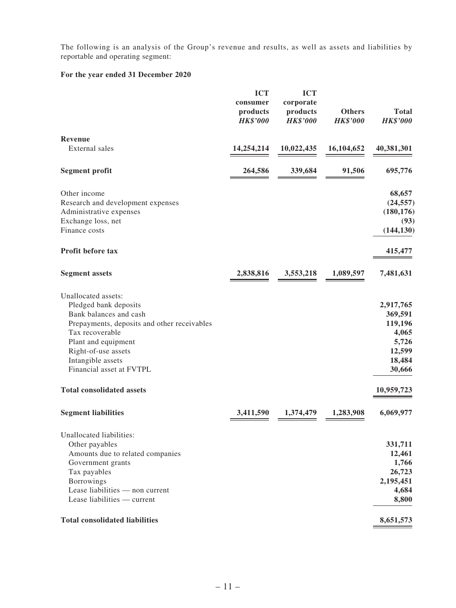The following is an analysis of the Group's revenue and results, as well as assets and liabilities by reportable and operating segment:

|                                                                                                                                                                                                                                                                                                           | <b>ICT</b>      | <b>ICT</b>      |                 |                                                                                                            |
|-----------------------------------------------------------------------------------------------------------------------------------------------------------------------------------------------------------------------------------------------------------------------------------------------------------|-----------------|-----------------|-----------------|------------------------------------------------------------------------------------------------------------|
|                                                                                                                                                                                                                                                                                                           | consumer        | corporate       |                 |                                                                                                            |
|                                                                                                                                                                                                                                                                                                           | products        | products        | <b>Others</b>   | <b>Total</b>                                                                                               |
|                                                                                                                                                                                                                                                                                                           | <b>HK\$'000</b> | <b>HK\$'000</b> | <b>HK\$'000</b> | <b>HK\$'000</b>                                                                                            |
| Revenue                                                                                                                                                                                                                                                                                                   |                 |                 |                 |                                                                                                            |
| External sales                                                                                                                                                                                                                                                                                            | 14,254,214      | 10,022,435      | 16,104,652      | 40,381,301                                                                                                 |
|                                                                                                                                                                                                                                                                                                           |                 |                 |                 |                                                                                                            |
| <b>Segment profit</b>                                                                                                                                                                                                                                                                                     | 264,586         | 339,684         | 91,506          | 695,776                                                                                                    |
| Other income                                                                                                                                                                                                                                                                                              |                 |                 |                 | 68,657                                                                                                     |
| Research and development expenses                                                                                                                                                                                                                                                                         |                 |                 |                 | (24, 557)                                                                                                  |
| Administrative expenses                                                                                                                                                                                                                                                                                   |                 |                 |                 | (180, 176)                                                                                                 |
| Exchange loss, net                                                                                                                                                                                                                                                                                        |                 |                 |                 | (93)                                                                                                       |
| Finance costs                                                                                                                                                                                                                                                                                             |                 |                 |                 | (144, 130)                                                                                                 |
|                                                                                                                                                                                                                                                                                                           |                 |                 |                 |                                                                                                            |
| Profit before tax                                                                                                                                                                                                                                                                                         |                 |                 |                 | 415,477                                                                                                    |
| <b>Segment assets</b>                                                                                                                                                                                                                                                                                     | 2,838,816       | 3,553,218       | 1,089,597       | 7,481,631                                                                                                  |
| Unallocated assets:<br>Pledged bank deposits<br>Bank balances and cash<br>Prepayments, deposits and other receivables<br>Tax recoverable<br>Plant and equipment<br>Right-of-use assets<br>Intangible assets<br>Financial asset at FVTPL<br><b>Total consolidated assets</b><br><b>Segment liabilities</b> | 3,411,590       | 1,374,479       | 1,283,908       | 2,917,765<br>369,591<br>119,196<br>4,065<br>5,726<br>12,599<br>18,484<br>30,666<br>10,959,723<br>6,069,977 |
|                                                                                                                                                                                                                                                                                                           |                 |                 |                 |                                                                                                            |
| Unallocated liabilities:                                                                                                                                                                                                                                                                                  |                 |                 |                 |                                                                                                            |
| Other payables                                                                                                                                                                                                                                                                                            |                 |                 |                 | 331,711                                                                                                    |
| Amounts due to related companies                                                                                                                                                                                                                                                                          |                 |                 |                 | 12,461                                                                                                     |
| Government grants                                                                                                                                                                                                                                                                                         |                 |                 |                 | 1,766                                                                                                      |
| Tax payables                                                                                                                                                                                                                                                                                              |                 |                 |                 | 26,723                                                                                                     |
| Borrowings                                                                                                                                                                                                                                                                                                |                 |                 |                 | 2,195,451                                                                                                  |
| Lease liabilities - non current                                                                                                                                                                                                                                                                           |                 |                 |                 | 4,684                                                                                                      |
| Lease liabilities — current                                                                                                                                                                                                                                                                               |                 |                 |                 | 8,800                                                                                                      |
| <b>Total consolidated liabilities</b>                                                                                                                                                                                                                                                                     |                 |                 |                 | 8,651,573                                                                                                  |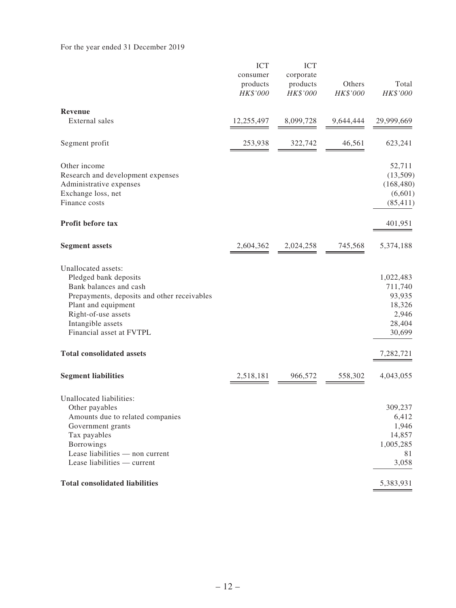|                                                                                                                                                                                                                      | <b>ICT</b><br>consumer<br>products<br>HK\$'000 | <b>ICT</b><br>corporate<br>products<br>HK\$'000 | Others<br>HK\$'000 | Total<br>HK\$'000                                                     |
|----------------------------------------------------------------------------------------------------------------------------------------------------------------------------------------------------------------------|------------------------------------------------|-------------------------------------------------|--------------------|-----------------------------------------------------------------------|
| <b>Revenue</b><br>External sales                                                                                                                                                                                     | 12,255,497                                     | 8,099,728                                       | 9,644,444          | 29,999,669                                                            |
| Segment profit                                                                                                                                                                                                       | 253,938                                        | 322,742                                         | 46,561             | 623,241                                                               |
| Other income<br>Research and development expenses<br>Administrative expenses<br>Exchange loss, net<br>Finance costs                                                                                                  |                                                |                                                 |                    | 52,711<br>(13,509)<br>(168, 480)<br>(6,601)<br>(85, 411)              |
| <b>Profit before tax</b>                                                                                                                                                                                             |                                                |                                                 |                    | 401,951                                                               |
| <b>Segment assets</b>                                                                                                                                                                                                | 2,604,362                                      | 2,024,258                                       | 745,568            | 5,374,188                                                             |
| Unallocated assets:<br>Pledged bank deposits<br>Bank balances and cash<br>Prepayments, deposits and other receivables<br>Plant and equipment<br>Right-of-use assets<br>Intangible assets<br>Financial asset at FVTPL |                                                |                                                 |                    | 1,022,483<br>711,740<br>93,935<br>18,326<br>2,946<br>28,404<br>30,699 |
| <b>Total consolidated assets</b>                                                                                                                                                                                     |                                                |                                                 |                    | 7,282,721                                                             |
| <b>Segment liabilities</b>                                                                                                                                                                                           | 2,518,181                                      | 966,572                                         | 558,302            | 4,043,055                                                             |
| Unallocated liabilities:<br>Other payables<br>Amounts due to related companies<br>Government grants<br>Tax payables<br>Borrowings<br>Lease liabilities - non current<br>Lease liabilities — current                  |                                                |                                                 |                    | 309,237<br>6,412<br>1,946<br>14,857<br>1,005,285<br>81<br>3,058       |
| <b>Total consolidated liabilities</b>                                                                                                                                                                                |                                                |                                                 |                    | 5,383,931                                                             |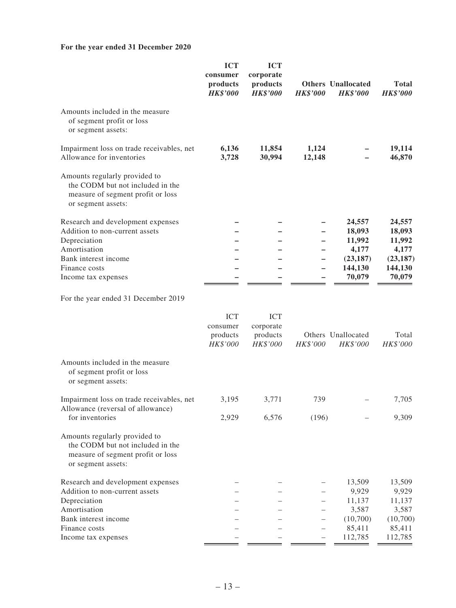|                                                                                                                              | <b>ICT</b><br>consumer<br>products<br><b>HK\$'000</b> | <b>ICT</b><br>corporate<br>products<br><b>HK\$'000</b> | <b>HK\$'000</b> | <b>Others</b> Unallocated<br><b>HK\$'000</b> | <b>Total</b><br><b>HK\$'000</b> |
|------------------------------------------------------------------------------------------------------------------------------|-------------------------------------------------------|--------------------------------------------------------|-----------------|----------------------------------------------|---------------------------------|
| Amounts included in the measure<br>of segment profit or loss<br>or segment assets:                                           |                                                       |                                                        |                 |                                              |                                 |
| Impairment loss on trade receivables, net<br>Allowance for inventories                                                       | 6,136<br>3,728                                        | 11,854<br>30,994                                       | 1,124<br>12,148 |                                              | 19,114<br>46,870                |
| Amounts regularly provided to<br>the CODM but not included in the<br>measure of segment profit or loss<br>or segment assets: |                                                       |                                                        |                 |                                              |                                 |
| Research and development expenses                                                                                            |                                                       |                                                        |                 | 24,557                                       | 24,557                          |
| Addition to non-current assets                                                                                               |                                                       |                                                        |                 | 18,093                                       | 18,093                          |
| Depreciation                                                                                                                 |                                                       |                                                        |                 | 11,992                                       | 11,992                          |
| Amortisation                                                                                                                 |                                                       |                                                        |                 | 4,177                                        | 4,177                           |
| Bank interest income                                                                                                         |                                                       |                                                        |                 | (23, 187)                                    | (23, 187)                       |
| Finance costs                                                                                                                |                                                       |                                                        |                 | 144,130                                      | 144,130                         |
| Income tax expenses                                                                                                          |                                                       |                                                        |                 | 70,079                                       | 70,079                          |
| For the year ended 31 December 2019                                                                                          |                                                       |                                                        |                 |                                              |                                 |
|                                                                                                                              | <b>ICT</b>                                            | <b>ICT</b>                                             |                 |                                              |                                 |
|                                                                                                                              | consumer                                              | corporate                                              |                 |                                              |                                 |
|                                                                                                                              | products<br>HK\$'000                                  | products<br>HK\$'000                                   | HK\$'000        | Others Unallocated<br>HK\$'000               | Total<br>HK\$'000               |
| Amounts included in the measure<br>of segment profit or loss<br>or segment assets:                                           |                                                       |                                                        |                 |                                              |                                 |
| Impairment loss on trade receivables, net<br>Allowance (reversal of allowance)                                               | 3,195                                                 | 3,771                                                  | 739             |                                              | 7,705                           |
| for inventories                                                                                                              | 2,929                                                 | 6,576                                                  | (196)           |                                              | 9,309                           |
| Amounts regularly provided to<br>the CODM but not included in the<br>measure of segment profit or loss<br>or segment assets: |                                                       |                                                        |                 |                                              |                                 |
| Research and development expenses                                                                                            |                                                       |                                                        |                 | 13,509                                       | 13,509                          |
| Addition to non-current assets                                                                                               |                                                       |                                                        |                 | 9,929                                        | 9,929                           |
| Depreciation                                                                                                                 |                                                       |                                                        |                 | 11,137                                       | 11,137                          |
| Amortisation                                                                                                                 |                                                       |                                                        |                 | 3,587                                        | 3,587                           |
| Bank interest income                                                                                                         |                                                       |                                                        |                 | (10,700)                                     | (10,700)                        |
| Finance costs                                                                                                                |                                                       |                                                        |                 | 85,411                                       | 85,411                          |
| Income tax expenses                                                                                                          |                                                       |                                                        |                 | 112,785                                      | 112,785                         |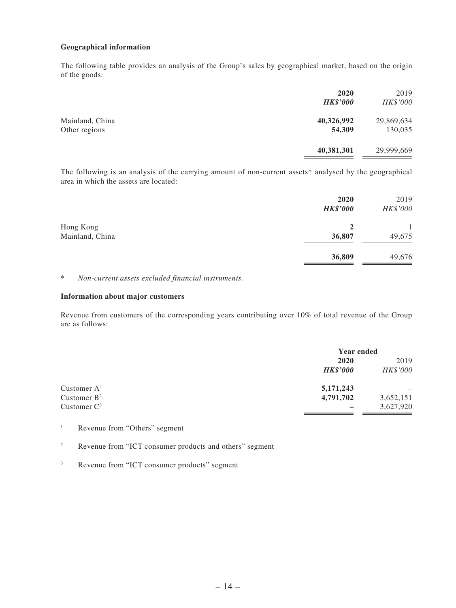### **Geographical information**

The following table provides an analysis of the Group's sales by geographical market, based on the origin of the goods:

|                                  | 2020<br><b>HK\$'000</b> | 2019<br>HK\$'000      |
|----------------------------------|-------------------------|-----------------------|
| Mainland, China<br>Other regions | 40,326,992<br>54,309    | 29,869,634<br>130,035 |
|                                  | 40,381,301              | 29,999,669            |

The following is an analysis of the carrying amount of non-current assets\* analysed by the geographical area in which the assets are located:

|                 | 2020<br><b>HK\$'000</b> | 2019<br>HK\$'000 |
|-----------------|-------------------------|------------------|
| Hong Kong       | $\mathbf{2}$            |                  |
| Mainland, China | 36,807                  | 49,675           |
|                 | 36,809                  | 49,676           |

\* *Non-current assets excluded financial instruments.*

#### **Information about major customers**

Revenue from customers of the corresponding years contributing over 10% of total revenue of the Group are as follows:

|                |                 | <b>Year ended</b> |  |
|----------------|-----------------|-------------------|--|
|                | 2020            | 2019              |  |
|                | <b>HK\$'000</b> | HK\$'000          |  |
| Customer $A1$  | 5,171,243       |                   |  |
| Customer $B^2$ | 4,791,702       | 3,652,151         |  |
| Customer $C^3$ |                 | 3,627,920         |  |

- <sup>1</sup> Revenue from "Others" segment
- <sup>2</sup> Revenue from "ICT consumer products and others" segment
- <sup>3</sup> Revenue from "ICT consumer products" segment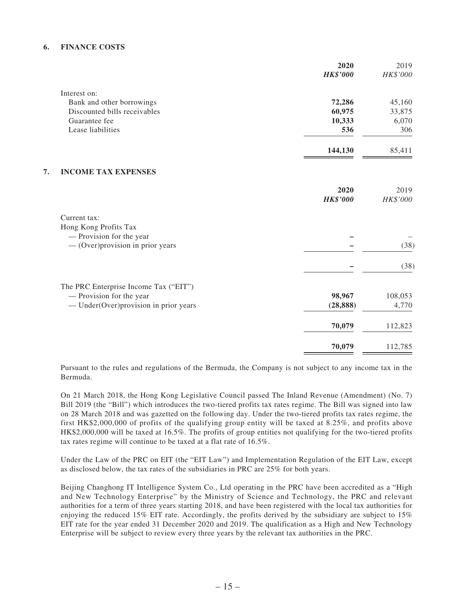### **6. FINANCE COSTS**

| 2020            | 2019                                          |
|-----------------|-----------------------------------------------|
| <b>HK\$'000</b> | HK\$'000                                      |
|                 |                                               |
|                 | 45,160                                        |
|                 | 33,875                                        |
| 10,333          | 6,070                                         |
| 536             | 306                                           |
| 144,130         | 85,411                                        |
|                 |                                               |
| 2020            | 2019                                          |
|                 | HK\$'000                                      |
|                 |                                               |
|                 |                                               |
|                 |                                               |
|                 | (38)                                          |
|                 | (38)                                          |
|                 |                                               |
|                 | 108,053                                       |
| (28, 888)       | 4,770                                         |
| 70,079          | 112,823                                       |
| 70,079          | 112,785                                       |
|                 | 72,286<br>60,975<br><b>HK\$'000</b><br>98,967 |

Pursuant to the rules and regulations of the Bermuda, the Company is not subject to any income tax in the Bermuda.

On 21 March 2018, the Hong Kong Legislative Council passed The Inland Revenue (Amendment) (No. 7) Bill 2019 (the "Bill") which introduces the two-tiered profits tax rates regime. The Bill was signed into law on 28 March 2018 and was gazetted on the following day. Under the two-tiered profits tax rates regime, the first HK\$2,000,000 of profits of the qualifying group entity will be taxed at 8.25%, and profits above HK\$2,000,000 will be taxed at 16.5%. The profits of group entities not qualifying for the two-tiered profits tax rates regime will continue to be taxed at a flat rate of 16.5%.

Under the Law of the PRC on EIT (the "EIT Law") and Implementation Regulation of the EIT Law, except as disclosed below, the tax rates of the subsidiaries in PRC are 25% for both years.

Beijing Changhong IT Intelligence System Co., Ltd operating in the PRC have been accredited as a "High and New Technology Enterprise" by the Ministry of Science and Technology, the PRC and relevant authorities for a term of three years starting 2018, and have been registered with the local tax authorities for enjoying the reduced 15% EIT rate. Accordingly, the profits derived by the subsidiary are subject to 15% EIT rate for the year ended 31 December 2020 and 2019. The qualification as a High and New Technology Enterprise will be subject to review every three years by the relevant tax authorities in the PRC.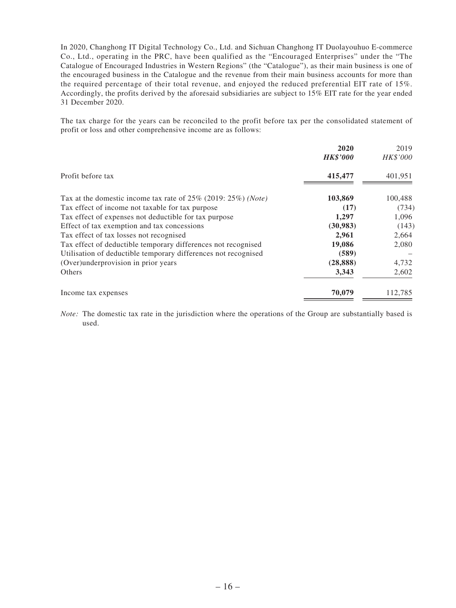In 2020, Changhong IT Digital Technology Co., Ltd. and Sichuan Changhong IT Duolayouhuo E-commerce Co., Ltd., operating in the PRC, have been qualified as the "Encouraged Enterprises" under the "The Catalogue of Encouraged Industries in Western Regions" (the "Catalogue"), as their main business is one of the encouraged business in the Catalogue and the revenue from their main business accounts for more than the required percentage of their total revenue, and enjoyed the reduced preferential EIT rate of 15%. Accordingly, the profits derived by the aforesaid subsidiaries are subject to 15% EIT rate for the year ended 31 December 2020.

The tax charge for the years can be reconciled to the profit before tax per the consolidated statement of profit or loss and other comprehensive income are as follows:

|                                                                      | 2020            | 2019     |
|----------------------------------------------------------------------|-----------------|----------|
|                                                                      | <b>HK\$'000</b> | HK\$'000 |
| Profit before tax                                                    | 415,477         | 401,951  |
| Tax at the domestic income tax rate of $25\%$ (2019: $25\%$ ) (Note) | 103,869         | 100,488  |
| Tax effect of income not taxable for tax purpose                     | (17)            | (734)    |
| Tax effect of expenses not deductible for tax purpose                | 1,297           | 1,096    |
| Effect of tax exemption and tax concessions                          | (30,983)        | (143)    |
| Tax effect of tax losses not recognised                              | 2,961           | 2,664    |
| Tax effect of deductible temporary differences not recognised        | 19,086          | 2,080    |
| Utilisation of deductible temporary differences not recognised       | (589)           |          |
| (Over)underprovision in prior years                                  | (28, 888)       | 4,732    |
| Others                                                               | 3,343           | 2,602    |
| Income tax expenses                                                  | 70,079          | 112,785  |

*Note:* The domestic tax rate in the jurisdiction where the operations of the Group are substantially based is used.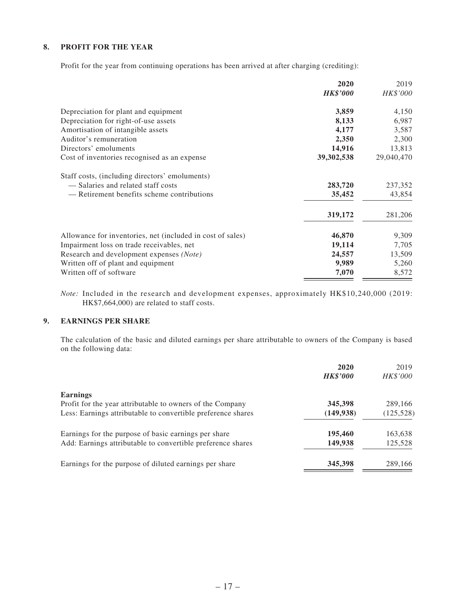### **8. PROFIT FOR THE YEAR**

Profit for the year from continuing operations has been arrived at after charging (crediting):

|                                                            | 2020            | 2019       |
|------------------------------------------------------------|-----------------|------------|
|                                                            | <b>HK\$'000</b> | HK\$'000   |
| Depreciation for plant and equipment                       | 3,859           | 4,150      |
| Depreciation for right-of-use assets                       | 8,133           | 6,987      |
| Amortisation of intangible assets                          | 4,177           | 3,587      |
| Auditor's remuneration                                     | 2,350           | 2,300      |
| Directors' emoluments                                      | 14,916          | 13,813     |
| Cost of inventories recognised as an expense               | 39,302,538      | 29,040,470 |
| Staff costs, (including directors' emoluments)             |                 |            |
| - Salaries and related staff costs                         | 283,720         | 237,352    |
| — Retirement benefits scheme contributions                 | 35,452          | 43,854     |
|                                                            | 319,172         | 281,206    |
| Allowance for inventories, net (included in cost of sales) | 46,870          | 9,309      |
| Impairment loss on trade receivables, net                  | 19,114          | 7,705      |
| Research and development expenses (Note)                   | 24,557          | 13,509     |
| Written off of plant and equipment                         | 9,989           | 5,260      |
| Written off of software                                    | 7,070           | 8,572      |

*Note:* Included in the research and development expenses, approximately HK\$10,240,000 (2019: HK\$7,664,000) are related to staff costs.

### **9. EARNINGS PER SHARE**

The calculation of the basic and diluted earnings per share attributable to owners of the Company is based on the following data:

|                                                              | 2020<br><b>HK\$'000</b> | 2019<br>HK\$'000 |
|--------------------------------------------------------------|-------------------------|------------------|
|                                                              |                         |                  |
| <b>Earnings</b>                                              |                         |                  |
| Profit for the year attributable to owners of the Company    | 345,398                 | 289,166          |
| Less: Earnings attributable to convertible preference shares | (149, 938)              | (125, 528)       |
| Earnings for the purpose of basic earnings per share         | 195,460                 | 163,638          |
| Add: Earnings attributable to convertible preference shares  | 149,938                 | 125,528          |
| Earnings for the purpose of diluted earnings per share       | 345,398                 | 289,166          |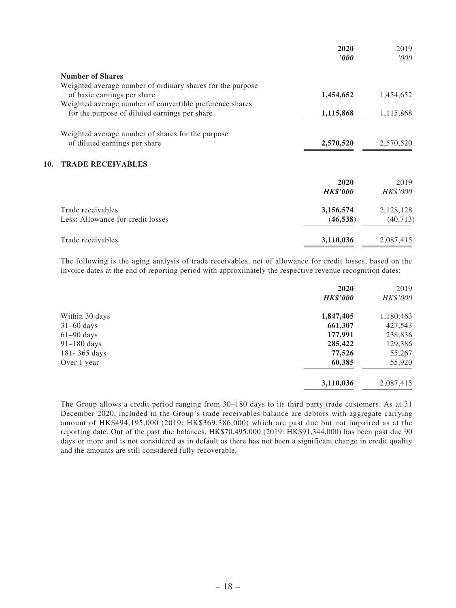|                                                            | 2020<br>$\bm{v}$ | 2019<br>000'    |
|------------------------------------------------------------|------------------|-----------------|
| <b>Number of Shares</b>                                    |                  |                 |
| Weighted average number of ordinary shares for the purpose |                  |                 |
| of basic earnings per share                                | 1,454,652        | 1,454,652       |
| Weighted average number of convertible preference shares   |                  |                 |
| for the purpose of diluted earnings per share              | 1,115,868        | 1,115,868       |
| Weighted average number of shares for the purpose          |                  |                 |
| of diluted earnings per share                              | 2,570,520        | 2,570,520       |
| <b>TRADE RECEIVABLES</b><br>10.                            |                  |                 |
|                                                            | 2020             | 2019            |
|                                                            | <b>HK\$'000</b>  | <b>HK\$'000</b> |
| Trade receivables                                          | 3,156,574        | 2,128,128       |
| Less: Allowance for credit losses                          | (46, 538)        | (40, 713)       |
| Trade receivables                                          | 3,110,036        | 2,087,415       |

The following is the aging analysis of trade receivables, net of allowance for credit losses, based on the invoice dates at the end of reporting period with approximately the respective revenue recognition dates:

|                | 2020            | 2019      |
|----------------|-----------------|-----------|
|                | <b>HK\$'000</b> | HK\$'000  |
| Within 30 days | 1,847,405       | 1,180,463 |
| $31-60$ days   | 661,307         | 427,543   |
| $61-90$ days   | 177,991         | 238,836   |
| $91-180$ days  | 285,422         | 129,386   |
| 181-365 days   | 77,526          | 55,267    |
| Over 1 year    | 60,385          | 55,920    |
|                | 3,110,036       | 2,087,415 |

The Group allows a credit period ranging from 30–180 days to its third party trade customers. As at 31 December 2020, included in the Group's trade receivables balance are debtors with aggregate carrying amount of HK\$494,195,000 (2019: HK\$369,386,000) which are past due but not impaired as at the reporting date. Out of the past due balances, HK\$70,495,000 (2019: HK\$91,344,000) has been past due 90 days or more and is not considered as in default as there has not been a significant change in credit quality and the amounts are still considered fully recoverable.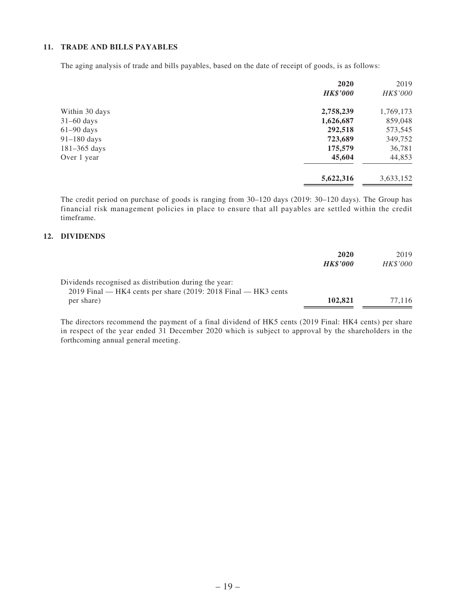### **11. TRADE AND BILLS PAYABLES**

The aging analysis of trade and bills payables, based on the date of receipt of goods, is as follows:

|                  | 2020            | 2019      |
|------------------|-----------------|-----------|
|                  | <b>HK\$'000</b> | HK\$'000  |
| Within 30 days   | 2,758,239       | 1,769,173 |
| $31-60$ days     | 1,626,687       | 859,048   |
| $61-90$ days     | 292,518         | 573,545   |
| 91-180 days      | 723,689         | 349,752   |
| $181 - 365$ days | 175,579         | 36,781    |
| Over 1 year      | 45,604          | 44,853    |
|                  | 5,622,316       | 3,633,152 |

The credit period on purchase of goods is ranging from 30–120 days (2019: 30–120 days). The Group has financial risk management policies in place to ensure that all payables are settled within the credit timeframe.

### **12. DIVIDENDS**

|                                                                                                                           | 2020<br><b>HK\$'000</b> | 2019<br><i>HK\$'000</i> |
|---------------------------------------------------------------------------------------------------------------------------|-------------------------|-------------------------|
| Dividends recognised as distribution during the year:<br>$2019$ Final — HK4 cents per share (2019: 2018 Final — HK3 cents |                         |                         |
| per share)                                                                                                                | 102.821                 | 77.116                  |

The directors recommend the payment of a final dividend of HK5 cents (2019 Final: HK4 cents) per share in respect of the year ended 31 December 2020 which is subject to approval by the shareholders in the forthcoming annual general meeting.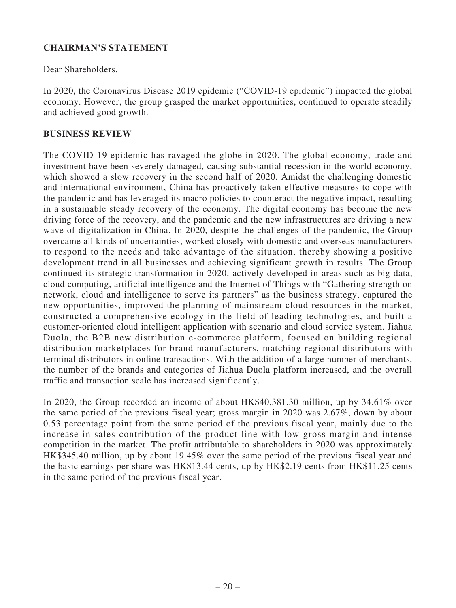# **CHAIRMAN'S STATEMENT**

Dear Shareholders,

In 2020, the Coronavirus Disease 2019 epidemic ("COVID-19 epidemic") impacted the global economy. However, the group grasped the market opportunities, continued to operate steadily and achieved good growth.

### **BUSINESS REVIEW**

The COVID-19 epidemic has ravaged the globe in 2020. The global economy, trade and investment have been severely damaged, causing substantial recession in the world economy, which showed a slow recovery in the second half of 2020. Amidst the challenging domestic and international environment, China has proactively taken effective measures to cope with the pandemic and has leveraged its macro policies to counteract the negative impact, resulting in a sustainable steady recovery of the economy. The digital economy has become the new driving force of the recovery, and the pandemic and the new infrastructures are driving a new wave of digitalization in China. In 2020, despite the challenges of the pandemic, the Group overcame all kinds of uncertainties, worked closely with domestic and overseas manufacturers to respond to the needs and take advantage of the situation, thereby showing a positive development trend in all businesses and achieving significant growth in results. The Group continued its strategic transformation in 2020, actively developed in areas such as big data, cloud computing, artificial intelligence and the Internet of Things with "Gathering strength on network, cloud and intelligence to serve its partners" as the business strategy, captured the new opportunities, improved the planning of mainstream cloud resources in the market, constructed a comprehensive ecology in the field of leading technologies, and built a customer-oriented cloud intelligent application with scenario and cloud service system. Jiahua Duola, the B2B new distribution e-commerce platform, focused on building regional distribution marketplaces for brand manufacturers, matching regional distributors with terminal distributors in online transactions. With the addition of a large number of merchants, the number of the brands and categories of Jiahua Duola platform increased, and the overall traffic and transaction scale has increased significantly.

In 2020, the Group recorded an income of about HK\$40,381.30 million, up by 34.61% over the same period of the previous fiscal year; gross margin in 2020 was 2.67%, down by about 0.53 percentage point from the same period of the previous fiscal year, mainly due to the increase in sales contribution of the product line with low gross margin and intense competition in the market. The profit attributable to shareholders in 2020 was approximately HK\$345.40 million, up by about 19.45% over the same period of the previous fiscal year and the basic earnings per share was HK\$13.44 cents, up by HK\$2.19 cents from HK\$11.25 cents in the same period of the previous fiscal year.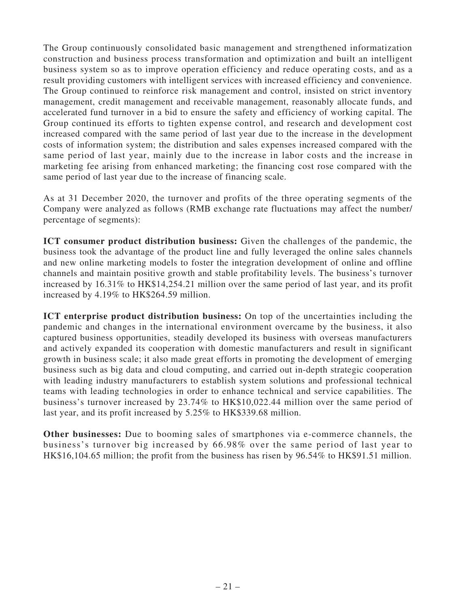The Group continuously consolidated basic management and strengthened informatization construction and business process transformation and optimization and built an intelligent business system so as to improve operation efficiency and reduce operating costs, and as a result providing customers with intelligent services with increased efficiency and convenience. The Group continued to reinforce risk management and control, insisted on strict inventory management, credit management and receivable management, reasonably allocate funds, and accelerated fund turnover in a bid to ensure the safety and efficiency of working capital. The Group continued its efforts to tighten expense control, and research and development cost increased compared with the same period of last year due to the increase in the development costs of information system; the distribution and sales expenses increased compared with the same period of last year, mainly due to the increase in labor costs and the increase in marketing fee arising from enhanced marketing; the financing cost rose compared with the same period of last year due to the increase of financing scale.

As at 31 December 2020, the turnover and profits of the three operating segments of the Company were analyzed as follows (RMB exchange rate fluctuations may affect the number/ percentage of segments):

**ICT consumer product distribution business:** Given the challenges of the pandemic, the business took the advantage of the product line and fully leveraged the online sales channels and new online marketing models to foster the integration development of online and offline channels and maintain positive growth and stable profitability levels. The business's turnover increased by 16.31% to HK\$14,254.21 million over the same period of last year, and its profit increased by 4.19% to HK\$264.59 million.

**ICT enterprise product distribution business:** On top of the uncertainties including the pandemic and changes in the international environment overcame by the business, it also captured business opportunities, steadily developed its business with overseas manufacturers and actively expanded its cooperation with domestic manufacturers and result in significant growth in business scale; it also made great efforts in promoting the development of emerging business such as big data and cloud computing, and carried out in-depth strategic cooperation with leading industry manufacturers to establish system solutions and professional technical teams with leading technologies in order to enhance technical and service capabilities. The business's turnover increased by 23.74% to HK\$10,022.44 million over the same period of last year, and its profit increased by 5.25% to HK\$339.68 million.

**Other businesses:** Due to booming sales of smartphones via e-commerce channels, the business's turnover big increased by 66.98% over the same period of last year to HK\$16,104.65 million; the profit from the business has risen by 96.54% to HK\$91.51 million.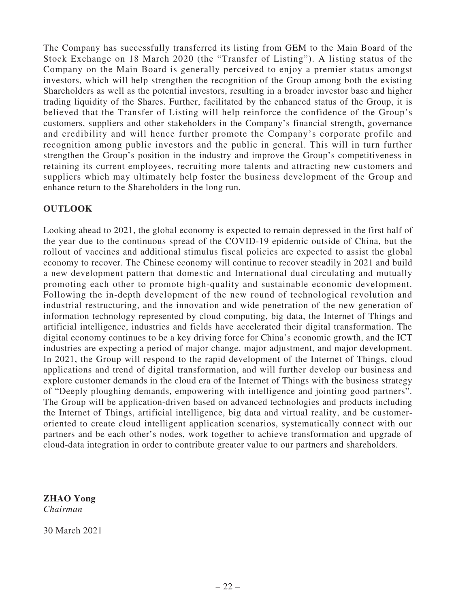The Company has successfully transferred its listing from GEM to the Main Board of the Stock Exchange on 18 March 2020 (the "Transfer of Listing"). A listing status of the Company on the Main Board is generally perceived to enjoy a premier status amongst investors, which will help strengthen the recognition of the Group among both the existing Shareholders as well as the potential investors, resulting in a broader investor base and higher trading liquidity of the Shares. Further, facilitated by the enhanced status of the Group, it is believed that the Transfer of Listing will help reinforce the confidence of the Group's customers, suppliers and other stakeholders in the Company's financial strength, governance and credibility and will hence further promote the Company's corporate profile and recognition among public investors and the public in general. This will in turn further strengthen the Group's position in the industry and improve the Group's competitiveness in retaining its current employees, recruiting more talents and attracting new customers and suppliers which may ultimately help foster the business development of the Group and enhance return to the Shareholders in the long run.

# **OUTLOOK**

Looking ahead to 2021, the global economy is expected to remain depressed in the first half of the year due to the continuous spread of the COVID-19 epidemic outside of China, but the rollout of vaccines and additional stimulus fiscal policies are expected to assist the global economy to recover. The Chinese economy will continue to recover steadily in 2021 and build a new development pattern that domestic and International dual circulating and mutually promoting each other to promote high-quality and sustainable economic development. Following the in-depth development of the new round of technological revolution and industrial restructuring, and the innovation and wide penetration of the new generation of information technology represented by cloud computing, big data, the Internet of Things and artificial intelligence, industries and fields have accelerated their digital transformation. The digital economy continues to be a key driving force for China's economic growth, and the ICT industries are expecting a period of major change, major adjustment, and major development. In 2021, the Group will respond to the rapid development of the Internet of Things, cloud applications and trend of digital transformation, and will further develop our business and explore customer demands in the cloud era of the Internet of Things with the business strategy of "Deeply ploughing demands, empowering with intelligence and jointing good partners". The Group will be application-driven based on advanced technologies and products including the Internet of Things, artificial intelligence, big data and virtual reality, and be customeroriented to create cloud intelligent application scenarios, systematically connect with our partners and be each other's nodes, work together to achieve transformation and upgrade of cloud-data integration in order to contribute greater value to our partners and shareholders.

**ZHAO Yong** *Chairman*

30 March 2021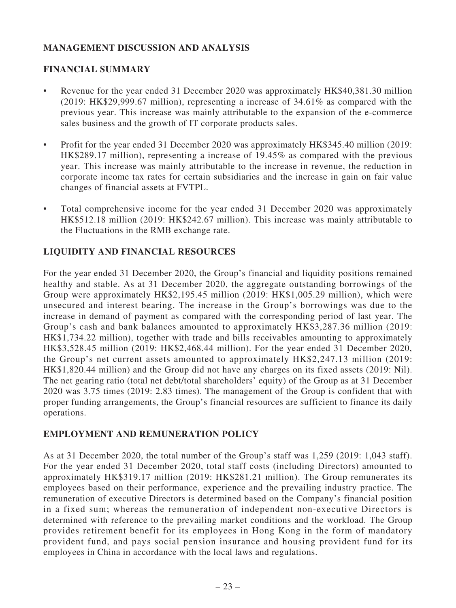# **MANAGEMENT DISCUSSION AND ANALYSIS**

# **FINANCIAL SUMMARY**

- Revenue for the year ended 31 December 2020 was approximately HK\$40,381.30 million (2019: HK\$29,999.67 million), representing a increase of 34.61% as compared with the previous year. This increase was mainly attributable to the expansion of the e-commerce sales business and the growth of IT corporate products sales.
- Profit for the year ended 31 December 2020 was approximately HK\$345.40 million (2019: HK\$289.17 million), representing a increase of 19.45% as compared with the previous year. This increase was mainly attributable to the increase in revenue, the reduction in corporate income tax rates for certain subsidiaries and the increase in gain on fair value changes of financial assets at FVTPL.
- Total comprehensive income for the year ended 31 December 2020 was approximately HK\$512.18 million (2019: HK\$242.67 million). This increase was mainly attributable to the Fluctuations in the RMB exchange rate.

# **LIQUIDITY AND FINANCIAL RESOURCES**

For the year ended 31 December 2020, the Group's financial and liquidity positions remained healthy and stable. As at 31 December 2020, the aggregate outstanding borrowings of the Group were approximately HK\$2,195.45 million (2019: HK\$1,005.29 million), which were unsecured and interest bearing. The increase in the Group's borrowings was due to the increase in demand of payment as compared with the corresponding period of last year. The Group's cash and bank balances amounted to approximately HK\$3,287.36 million (2019: HK\$1,734.22 million), together with trade and bills receivables amounting to approximately HK\$3,528.45 million (2019: HK\$2,468.44 million). For the year ended 31 December 2020, the Group's net current assets amounted to approximately HK\$2,247.13 million (2019: HK\$1,820.44 million) and the Group did not have any charges on its fixed assets (2019: Nil). The net gearing ratio (total net debt/total shareholders' equity) of the Group as at 31 December 2020 was 3.75 times (2019: 2.83 times). The management of the Group is confident that with proper funding arrangements, the Group's financial resources are sufficient to finance its daily operations.

### **EMPLOYMENT AND REMUNERATION POLICY**

As at 31 December 2020, the total number of the Group's staff was 1,259 (2019: 1,043 staff). For the year ended 31 December 2020, total staff costs (including Directors) amounted to approximately HK\$319.17 million (2019: HK\$281.21 million). The Group remunerates its employees based on their performance, experience and the prevailing industry practice. The remuneration of executive Directors is determined based on the Company's financial position in a fixed sum; whereas the remuneration of independent non-executive Directors is determined with reference to the prevailing market conditions and the workload. The Group provides retirement benefit for its employees in Hong Kong in the form of mandatory provident fund, and pays social pension insurance and housing provident fund for its employees in China in accordance with the local laws and regulations.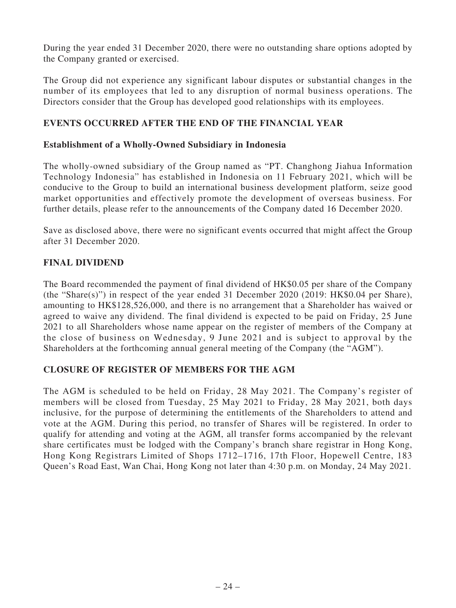During the year ended 31 December 2020, there were no outstanding share options adopted by the Company granted or exercised.

The Group did not experience any significant labour disputes or substantial changes in the number of its employees that led to any disruption of normal business operations. The Directors consider that the Group has developed good relationships with its employees.

# **EVENTS OCCURRED AFTER THE END OF THE FINANCIAL YEAR**

### **Establishment of a Wholly-Owned Subsidiary in Indonesia**

The wholly-owned subsidiary of the Group named as "PT. Changhong Jiahua Information Technology Indonesia" has established in Indonesia on 11 February 2021, which will be conducive to the Group to build an international business development platform, seize good market opportunities and effectively promote the development of overseas business. For further details, please refer to the announcements of the Company dated 16 December 2020.

Save as disclosed above, there were no significant events occurred that might affect the Group after 31 December 2020.

### **FINAL DIVIDEND**

The Board recommended the payment of final dividend of HK\$0.05 per share of the Company (the "Share(s)") in respect of the year ended 31 December 2020 (2019: HK\$0.04 per Share), amounting to HK\$128,526,000, and there is no arrangement that a Shareholder has waived or agreed to waive any dividend. The final dividend is expected to be paid on Friday, 25 June 2021 to all Shareholders whose name appear on the register of members of the Company at the close of business on Wednesday, 9 June 2021 and is subject to approval by the Shareholders at the forthcoming annual general meeting of the Company (the "AGM").

### **CLOSURE OF REGISTER OF MEMBERS FOR THE AGM**

The AGM is scheduled to be held on Friday, 28 May 2021. The Company's register of members will be closed from Tuesday, 25 May 2021 to Friday, 28 May 2021, both days inclusive, for the purpose of determining the entitlements of the Shareholders to attend and vote at the AGM. During this period, no transfer of Shares will be registered. In order to qualify for attending and voting at the AGM, all transfer forms accompanied by the relevant share certificates must be lodged with the Company's branch share registrar in Hong Kong, Hong Kong Registrars Limited of Shops 1712–1716, 17th Floor, Hopewell Centre, 183 Queen's Road East, Wan Chai, Hong Kong not later than 4:30 p.m. on Monday, 24 May 2021.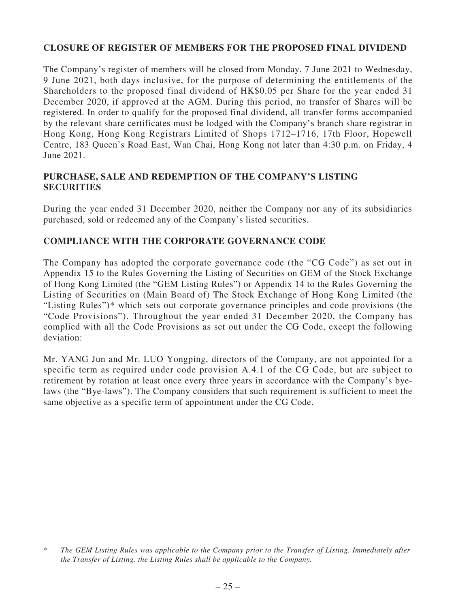# **CLOSURE OF REGISTER OF MEMBERS FOR THE PROPOSED FINAL DIVIDEND**

The Company's register of members will be closed from Monday, 7 June 2021 to Wednesday, 9 June 2021, both days inclusive, for the purpose of determining the entitlements of the Shareholders to the proposed final dividend of HK\$0.05 per Share for the year ended 31 December 2020, if approved at the AGM. During this period, no transfer of Shares will be registered. In order to qualify for the proposed final dividend, all transfer forms accompanied by the relevant share certificates must be lodged with the Company's branch share registrar in Hong Kong, Hong Kong Registrars Limited of Shops 1712–1716, 17th Floor, Hopewell Centre, 183 Queen's Road East, Wan Chai, Hong Kong not later than 4:30 p.m. on Friday, 4 June 2021.

### **PURCHASE, SALE AND REDEMPTION OF THE COMPANY'S LISTING SECURITIES**

During the year ended 31 December 2020, neither the Company nor any of its subsidiaries purchased, sold or redeemed any of the Company's listed securities.

# **COMPLIANCE WITH THE CORPORATE GOVERNANCE CODE**

The Company has adopted the corporate governance code (the "CG Code") as set out in Appendix 15 to the Rules Governing the Listing of Securities on GEM of the Stock Exchange of Hong Kong Limited (the "GEM Listing Rules") or Appendix 14 to the Rules Governing the Listing of Securities on (Main Board of) The Stock Exchange of Hong Kong Limited (the "Listing Rules")\* which sets out corporate governance principles and code provisions (the "Code Provisions"). Throughout the year ended 31 December 2020, the Company has complied with all the Code Provisions as set out under the CG Code, except the following deviation:

Mr. YANG Jun and Mr. LUO Yongping, directors of the Company, are not appointed for a specific term as required under code provision A.4.1 of the CG Code, but are subject to retirement by rotation at least once every three years in accordance with the Company's byelaws (the "Bye-laws"). The Company considers that such requirement is sufficient to meet the same objective as a specific term of appointment under the CG Code.

<sup>\*</sup> *The GEM Listing Rules was applicable to the Company prior to the Transfer of Listing. Immediately after the Transfer of Listing, the Listing Rules shall be applicable to the Company.*